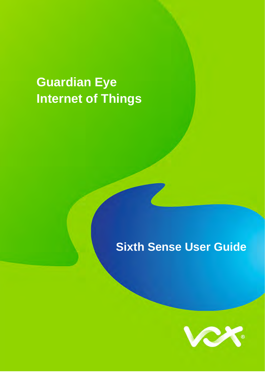# **Guardian Eye Internet of Things**

## **Sixth Sense User Guide**

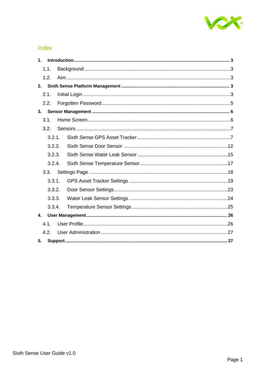

## Index

| $\mathbf{1}$ . |  |  |
|----------------|--|--|
| 1.1.           |  |  |
| 1.2.           |  |  |
|                |  |  |
| 2.1.           |  |  |
| 2.2.           |  |  |
| 3.             |  |  |
| 3.1.           |  |  |
| 3.2.           |  |  |
| 3.2.1.         |  |  |
| 3.2.2.         |  |  |
| 3.2.3.         |  |  |
| 3.2.4.         |  |  |
| 3.3.           |  |  |
| 3.3.1.         |  |  |
| 3.3.2.         |  |  |
| 3.3.3.         |  |  |
| 3.3.4.         |  |  |
| $\mathbf{4}$   |  |  |
| 4.1.           |  |  |
| 4.2.           |  |  |
| 5.             |  |  |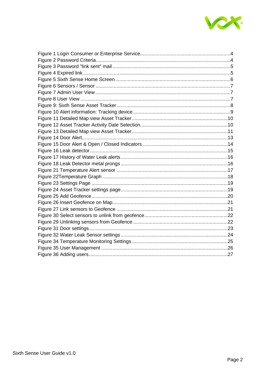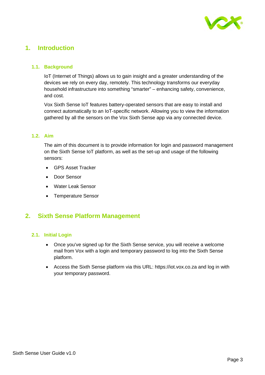

## <span id="page-3-0"></span>**1. Introduction**

#### <span id="page-3-1"></span>**1.1. Background**

IoT (Internet of Things) allows us to gain insight and a greater understanding of the devices we rely on every day, remotely. This technology transforms our everyday household infrastructure into something "smarter" – enhancing safety, convenience, and cost.

Vox Sixth Sense IoT features battery-operated sensors that are easy to install and connect automatically to an IoT-specific network. Allowing you to view the information gathered by all the sensors on the Vox Sixth Sense app via any connected device.

#### <span id="page-3-2"></span>**1.2. Aim**

The aim of this document is to provide information for login and password management on the Sixth Sense IoT platform, as well as the set-up and usage of the following sensors:

- GPS Asset Tracker
- Door Sensor
- Water Leak Sensor
- Temperature Sensor

## <span id="page-3-3"></span>**2. Sixth Sense Platform Management**

#### <span id="page-3-4"></span>**2.1. Initial Login**

- Once you've signed up for the Sixth Sense service, you will receive a welcome mail from Vox with a login and temporary password to log into the Sixth Sense platform.
- Access the Sixth Sense platform via this URL: https://iot.vox.co.za and log in with your temporary password.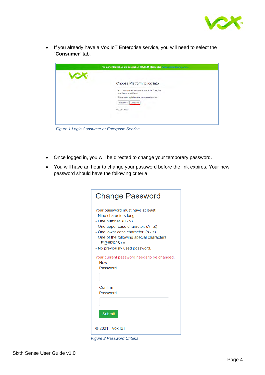

• If you already have a Vox IoT Enterprise service, you will need to select the "**Consumer**" tab.

| Choose Platform to log into                                                     |  |
|---------------------------------------------------------------------------------|--|
| Your username and password is used in the Enterprise<br>and Consumer platforms. |  |
| Please select a platform that you want to login into                            |  |
| Enterprise<br>Consumer                                                          |  |
| © 2021 - Vox loT                                                                |  |
|                                                                                 |  |

*Figure 1 Login Consumer or Enterprise Service*

- Once logged in, you will be directed to change your temporary password.
- You will have an hour to change your password before the link expires. Your new password should have the following criteria

| <b>Change Password</b>                                                     |  |
|----------------------------------------------------------------------------|--|
| Your password must have at least:                                          |  |
| - Nine characters long.                                                    |  |
| - One number. $(0 - 9)$                                                    |  |
| - One upper case character. (A - Z)<br>- One lower case character. (a - z) |  |
| - One of the following special characters:<br>!*@#\$%^&+=                  |  |
| - No previously used password.                                             |  |
| Your current password needs to be changed.<br><b>New</b><br>Password       |  |
| Confirm                                                                    |  |
| Password                                                                   |  |
| <b>Submit</b>                                                              |  |
| © 2021 - Vox IoT                                                           |  |

*Figure 2 Password Criteria*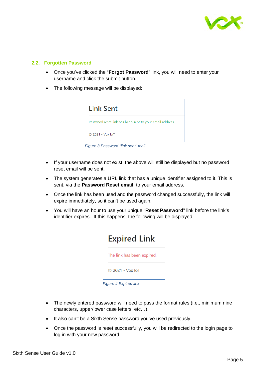

#### <span id="page-5-0"></span>**2.2. Forgotten Password**

- Once you've clicked the "**Forgot Password**" link, you will need to enter your username and click the submit button.
- The following message will be displayed:



*Figure 3 Password "link sent" mail*

- If your username does not exist, the above will still be displayed but no password reset email will be sent.
- The system generates a URL link that has a unique identifier assigned to it. This is sent, via the **Password Reset email**, to your email address.
- Once the link has been used and the password changed successfully, the link will expire immediately, so it can't be used again.
- You will have an hour to use your unique "**Reset Password**" link before the link's identifier expires. If this happens, the following will be displayed:



*Figure 4 Expired link*

- The newly entered password will need to pass the format rules (i.e., minimum nine characters, upper/lower case letters, etc…).
- It also can't be a Sixth Sense password you've used previously.
- Once the password is reset successfully, you will be redirected to the login page to log in with your new password.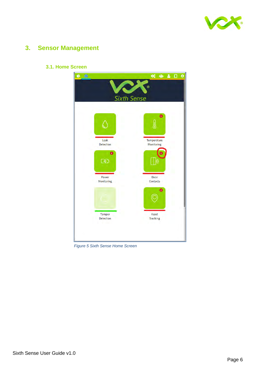

## <span id="page-6-0"></span>**3. Sensor Management**



<span id="page-6-1"></span>**3.1. Home Screen**

*Figure 5 Sixth Sense Home Screen*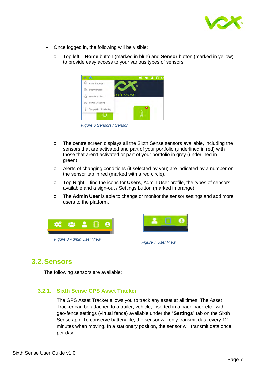

- Once logged in, the following will be visible:
	- o Top left **Home** button (marked in blue) and **Sensor** button (marked in yellow) to provide easy access to your various types of sensors.



*Figure 6 Sensors / Sensor*

- o The centre screen displays all the Sixth Sense sensors available, including the sensors that are activated and part of your portfolio (underlined in red) with those that aren't activated or part of your portfolio in grey (underlined in green).
- o Alerts of changing conditions (if selected by you) are indicated by a number on the sensor tab in red (marked with a red circle).
- o Top Right find the icons for **Users**, Admin User profile, the types of sensors available and a sign-out / Settings button (marked in orange).
- o The **Admin User** is able to change or monitor the sensor settings and add more users to the platform.





## <span id="page-7-0"></span>**3.2. Sensors**

The following sensors are available:

#### <span id="page-7-1"></span>**3.2.1. Sixth Sense GPS Asset Tracker**

The GPS Asset Tracker allows you to track any asset at all times. The Asset Tracker can be attached to a trailer, vehicle, inserted in a back-pack etc., with geo-fence settings (virtual fence) available under the "**Settings**" tab on the Sixth Sense app. To conserve battery life, the sensor will only transmit data every 12 minutes when moving. In a stationary position, the sensor will transmit data once per day.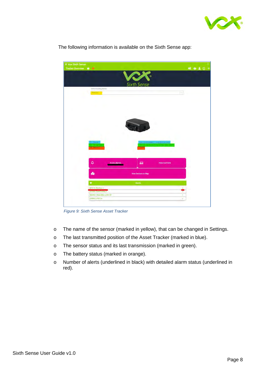



The following information is available on the Sixth Sense app:

*Figure 9: Sixth Sense Asset Tracker*

- o The name of the sensor (marked in yellow), that can be changed in Settings.
- o The last transmitted position of the Asset Tracker (marked in blue).
- o The sensor status and its last transmission (marked in green).
- o The battery status (marked in orange).
- o Number of alerts (underlined in black) with detailed alarm status (underlined in red).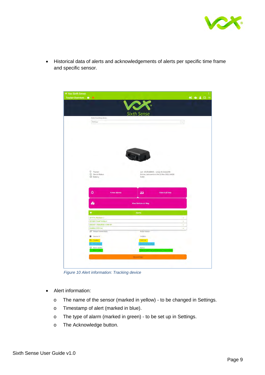

• Historical data of alerts and acknowledgements of alerts per specific time frame and specific sensor.



*Figure 10 Alert information: Tracking device*

- Alert information:
	- o The name of the sensor (marked in yellow) to be changed in Settings.
	- o Timestamp of alert (marked in blue).
	- o The type of alarm (marked in green) to be set up in Settings.
	- o The Acknowledge button.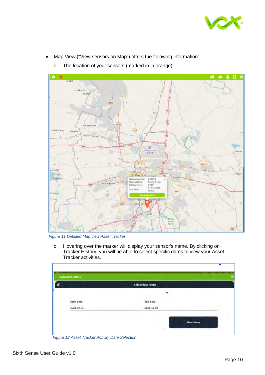

- Map View ("View sensors on Map") offers the following information:
- $\Omega$ c e Madici SofaSonke M39 Ga-Rankuwi Mothutlung M35 Mapetia **Ali ps** R101 mansvill Pretoria **Ifaf** Me C42B93 Device Identifier Device Name Poena Dyster Atter 5.35V<br>04 Nov 2021 tery level Last Seen 16H53 3,111 lerstroc MTD Cer R25
- o The location of your sensors (marked in in orange).

*Figure 11 Detailed Map view Asset Tracker*

o Hovering over the marker will display your sensor's name. By clicking on Tracker History, you will be able to select specific dates to view your Asset Tracker activities.

|            | Select date range |  |
|------------|-------------------|--|
|            | ٠                 |  |
| Start date | <b>End date</b>   |  |
| 2021-09-01 | 2021-11-05        |  |

*Figure 12 Asset Tracker Activity Date Selection*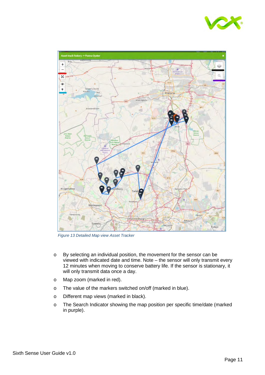



*Figure 13 Detailed Map view Asset Tracker*

- o By selecting an individual position, the movement for the sensor can be viewed with indicated date and time. Note – the sensor will only transmit every 12 minutes when moving to conserve battery life. If the sensor is stationary, it will only transmit data once a day.
- o Map zoom (marked in red).
- o The value of the markers switched on/off (marked in blue).
- o Different map views (marked in black).
- o The Search Indicator showing the map position per specific time/date (marked in purple).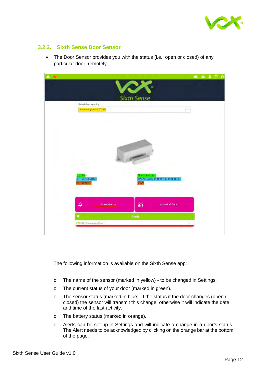

#### <span id="page-12-0"></span>**3.2.2. Sixth Sense Door Sensor**

• The Door Sensor provides you with the status (i.e.: open or closed) of any particular door, remotely.



The following information is available on the Sixth Sense app:

- o The name of the sensor (marked in yellow) to be changed in Settings.
- o The current status of your door (marked in green).
- o The sensor status (marked in blue). If the status if the door changes (open / closed) the sensor will transmit this change, otherwise it will indicate the date and time of the last activity.
- o The battery status (marked in orange).
- o Alerts can be set up in Settings and will indicate a change in a door's status. The Alert needs to be acknowledged by clicking on the orange bar at the bottom of the page.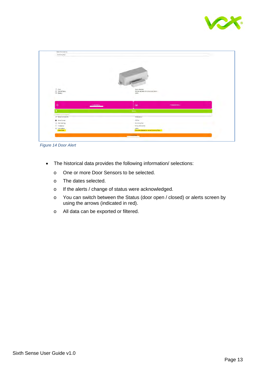

| <b>Brittening Road</b><br><b>Service Ave</b> |                                                             |                          |  |
|----------------------------------------------|-------------------------------------------------------------|--------------------------|--|
|                                              |                                                             |                          |  |
|                                              |                                                             |                          |  |
|                                              |                                                             |                          |  |
|                                              |                                                             |                          |  |
|                                              |                                                             |                          |  |
|                                              |                                                             |                          |  |
|                                              |                                                             |                          |  |
|                                              |                                                             |                          |  |
|                                              | $\overline{\phantom{0}}$                                    |                          |  |
|                                              |                                                             |                          |  |
| <b>STATISTICS</b>                            |                                                             |                          |  |
|                                              | Open pinected                                               |                          |  |
| (1 Door)<br>(0 Device Status)<br>(1) Eattery | Online, last seen at 01 flow 2021 11924                     |                          |  |
| v                                            | 100%<br><b>Ship St</b>                                      |                          |  |
|                                              |                                                             |                          |  |
|                                              |                                                             |                          |  |
|                                              |                                                             |                          |  |
|                                              |                                                             |                          |  |
| ۵<br><b>System Marrisk</b>                   | áil                                                         | <b>Fisherman Detroit</b> |  |
|                                              |                                                             |                          |  |
|                                              | <b>There</b>                                                |                          |  |
|                                              |                                                             |                          |  |
| <b>CONTRACTOR</b><br>(2) Service provided in | Active serson                                               |                          |  |
|                                              |                                                             |                          |  |
| <b>B</b> determine                           | 070746                                                      |                          |  |
| ( Operaziones                                | Summitg Rati.                                               |                          |  |
| E disasse                                    | NAMERIANS                                                   |                          |  |
| 10" Alaim Metus<br><b>Kamayan</b>            | Address<br>Desirople detection on the int. Business product |                          |  |
|                                              | <b><i><u>Administrative</u></i></b>                         |                          |  |

*Figure 14 Door Alert*

- The historical data provides the following information/ selections:
	- o One or more Door Sensors to be selected.
	- o The dates selected.
	- o If the alerts / change of status were acknowledged.
	- o You can switch between the Status (door open / closed) or alerts screen by using the arrows (indicated in red).
	- o All data can be exported or filtered.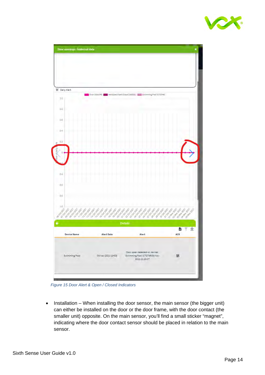



*Figure 15 Door Alert & Open / Closed Indicators*

• Installation – When installing the door sensor, the main sensor (the bigger unit) can either be installed on the door or the door frame, with the door contact (the smaller unit) opposite. On the main sensor, you'll find a small sticker "magnet", indicating where the door contact sensor should be placed in relation to the main sensor.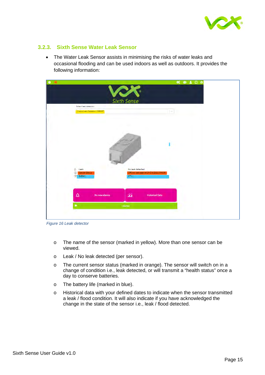

#### <span id="page-15-0"></span>**3.2.3. Sixth Sense Water Leak Sensor**

• The Water Leak Sensor assists in minimising the risks of water leaks and occasional flooding and can be used indoors as well as outdoors. It provides the following information:



*Figure 16 Leak detector*

- o The name of the sensor (marked in yellow). More than one sensor can be viewed.
- o Leak / No leak detected (per sensor).
- o The current sensor status (marked in orange). The sensor will switch on in a change of condition i.e., leak detected, or will transmit a "health status" once a day to conserve batteries.
- o The battery life (marked in blue).
- o Historical data with your defined dates to indicate when the sensor transmitted a leak / flood condition. It will also indicate if you have acknowledged the change in the state of the sensor i.e., leak / flood detected.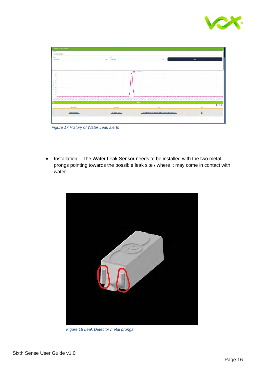



*Figure 17 History of Water Leak alerts*

• Installation – The Water Leak Sensor needs to be installed with the two metal prongs pointing towards the possible leak site / where it may come in contact with water.



*Figure 18 Leak Detector metal prongs*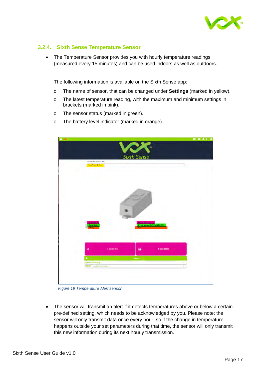

#### <span id="page-17-0"></span>**3.2.4. Sixth Sense Temperature Sensor**

• The Temperature Sensor provides you with hourly temperature readings (measured every 15 minutes) and can be used indoors as well as outdoors.

The following information is available on the Sixth Sense app:

- o The name of sensor, that can be changed under **Settings** (marked in yellow).
- o The latest temperature reading, with the maximum and minimum settings in brackets (marked in pink).
- o The sensor status (marked in green).
- o The battery level indicator (marked in orange).



*Figure 19 Temperature Alert sensor*

The sensor will transmit an alert if it detects temperatures above or below a certain pre-defined setting, which needs to be acknowledged by you. Please note: the sensor will only transmit data once every hour, so if the change in temperature happens outside your set parameters during that time, the sensor will only transmit this new information during its next hourly transmission.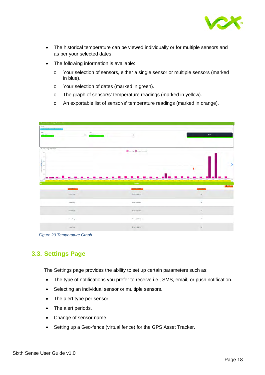

- The historical temperature can be viewed individually or for multiple sensors and as per your selected dates.
- The following information is available:
	- o Your selection of sensors, either a single sensor or multiple sensors (marked in blue).
	- o Your selection of dates (marked in green).
	- o The graph of sensor/s' temperature readings (marked in yellow).
	- o An exportable list of sensor/s' temperature readings (marked in orange).



*Figure 20 Temperature Graph*

## <span id="page-18-0"></span>**3.3. Settings Page**

The Settings page provides the ability to set up certain parameters such as:

- The type of notifications you prefer to receive i.e., SMS, email, or push notification.
- Selecting an individual sensor or multiple sensors.
- The alert type per sensor.
- The alert periods.
- Change of sensor name.
- Setting up a Geo-fence (virtual fence) for the GPS Asset Tracker.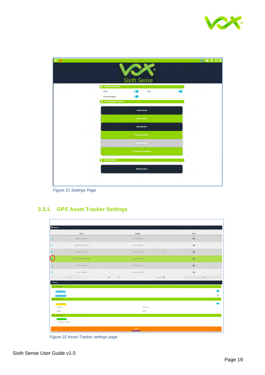

| a. |                                                                                       | <b>CAR</b><br>Sixth Sense       | 经单名日间 |
|----|---------------------------------------------------------------------------------------|---------------------------------|-------|
|    | a Natifications sent by<br>Enail<br>Push notification<br><b>Wertsettingspersensor</b> | SNS:                            |       |
|    |                                                                                       | Asset tracking<br>Dear contacts |       |
|    |                                                                                       | Leekdetedion<br>Pourmentown     |       |
|    |                                                                                       | The constant monitoring         |       |
|    | <b>I</b> Bedience Bec. d                                                              | Geofence satup                  |       |
|    |                                                                                       |                                 |       |

*Figure 21 Settings Page*

## <span id="page-19-0"></span>**3.3.1. GPS Asset Tracker Settings**

| <b>Devices</b>                               |                          |             |                    |         |           |
|----------------------------------------------|--------------------------|-------------|--------------------|---------|-----------|
|                                              | Sensor                   |             | <b>Updated</b>     |         | Alerts    |
|                                              | <b>Backpaci (ZETSTA)</b> |             | 11 Nov 2021 14 156 |         | $\bullet$ |
|                                              | Delivery Bike 1 (2E791D) |             | 51 Nov 2021 14H40  |         | ۰         |
|                                              | Fued Trailey LigeTaten   |             | 11Nov2021 DH35     | ٠       | $\bullet$ |
|                                              | Nummae colos GR (ABCS)   |             | 1106v202150H30     |         | $\bullet$ |
|                                              | FVH Car (C42693)         |             | LT Nov 2021 Limits |         | $\bullet$ |
|                                              | Trailer 5 (3AE09D)       |             | 11Nov202114H37     |         | $\infty$  |
|                                              | Tiellow.                 | Page 1 of 2 |                    | Grows V | Next      |
| $\&$ Aiert Type                              |                          |             |                    |         |           |
|                                              |                          |             |                    |         |           |
| Gutationales<br>W Alert Penad                |                          |             |                    |         |           |
| -Send between                                |                          |             |                    |         |           |
| Starttime                                    |                          |             | Endtime            |         |           |
|                                              |                          |             | 23:59              |         |           |
|                                              |                          |             |                    |         |           |
| 00:00<br><b>Devisions</b><br>et devices next | Motorbike co446 GP       |             |                    |         |           |

*Figure 22 Asset Tracker settings page*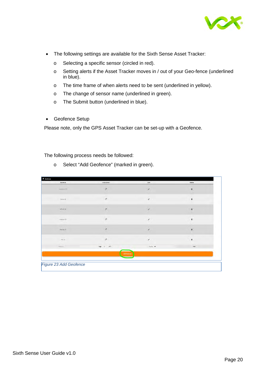

- The following settings are available for the Sixth Sense Asset Tracker:
	- o Selecting a specific sensor (circled in red).
	- o Setting alerts if the Asset Tracker moves in / out of your Geo-fence (underlined in blue).
	- o The time frame of when alerts need to be sent (underlined in yellow).
	- o The change of sensor name (underlined in green).
	- o The Submit button (underlined in blue).
- Geofence Setup

Please note, only the GPS Asset Tracker can be set-up with a Geofence.

The following process needs be followed:

| Geofence               | Link/Unlink      | Edit      | Delete                  |
|------------------------|------------------|-----------|-------------------------|
| centurion (3)          | $\mathcal{O}$    | $\lambda$ | $\vec{u}$               |
| Home (2)               | $\boldsymbol{o}$ | $\lambda$ | $\overline{\mathbf{B}}$ |
| OFFICE (O)             | $\mathcal{Q}$    | ł         | $\overline{\mathbf{B}}$ |
| Rretoria (0)           | $\delta$         | ,         | ī                       |
| Strange (1)            | $\mathcal{Q}$    | 1         | ā                       |
| $\sqrt{or}$ (2)        | $\mathcal{O}$    | ∕         | $\bar{\mathbf{H}}$      |
| Reinig.                | Page $1$ of 2    | Srows V   | <b>Next</b>             |
|                        | Add Septence     |           |                         |
| Figure 23 Add Geofence |                  |           |                         |

o Select "Add Geofence" (marked in green).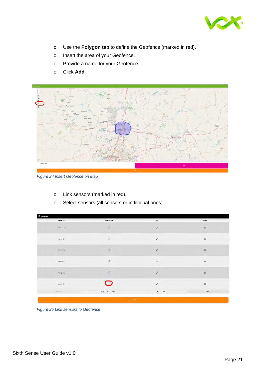

- o Use the **Polygon tab** to define the Geofence (marked in red).
- o Insert the area of your Geofence.
- o Provide a name for your Geofence.
- o Click **Add**



*Figure 24 Insert Geofence on Map*

o Link sensors (marked in red).

| Link/Unlink   | Edit                     | Delete                         |
|---------------|--------------------------|--------------------------------|
| $\mathcal{Q}$ | $\!\!$                   | G.                             |
| $\mathcal{O}$ | Ï                        | Ū.                             |
| $\circ$       | $\overline{\phantom{a}}$ | $\overline{\mathbf{B}}$<br>٠   |
| $\mathcal{O}$ | $\overline{\phantom{a}}$ | $\widetilde{\mathbf{H}}$       |
| $\mathcal{O}$ | $\epsilon$               | Ű.                             |
| $\bullet$     | v                        | $\widetilde{\mathbf{u}}$<br>s. |
| $Page 1$ of 2 | $6$ rows $\vee$          | $\mathcal{N}\mathsf{ext}$      |
|               |                          |                                |

*Figure 25 Link sensors to Geofence*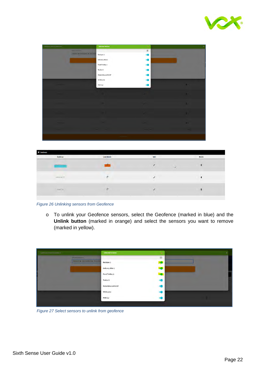

| Grahamar Devrar Selections |                                                | <b>Selected Devices</b> | $\infty$ | × |
|----------------------------|------------------------------------------------|-------------------------|----------|---|
|                            | Sitected Devices                               |                         | iö.      |   |
|                            | I Backgard, M. Director School, M. State Frail | Backpac 1               |          |   |
|                            |                                                | Delivery Bike 1         |          |   |
|                            |                                                | Food Trolley 1          |          |   |
|                            |                                                | Trailer 5               |          |   |
|                            |                                                | Motorbike cc446 GP      |          |   |
|                            |                                                | VK Bicycle              |          |   |
|                            |                                                | PVH Car                 |          |   |
|                            |                                                |                         |          |   |
|                            |                                                |                         | a.       | ٠ |
|                            |                                                |                         |          |   |
|                            |                                                |                         |          | ٠ |
|                            |                                                |                         |          |   |
|                            |                                                |                         |          |   |
|                            |                                                |                         |          |   |
|                            |                                                |                         |          | m |
|                            |                                                |                         |          |   |
|                            |                                                |                         |          |   |
|                            |                                                | <b>SECRETARY</b>        |          |   |

| <b>a</b> Geofences    |             |                   |   |        |
|-----------------------|-------------|-------------------|---|--------|
| Geofence              | Link/Unlink | Edit              |   | Delete |
| <b>Allegal Avenue</b> |             | x                 | ÷ | π      |
| GRNWWW (T)            | ø           | 12<br>×<br>m<br>w |   | ī,     |
| Home (i).             | ø           |                   |   | 直      |

*Figure 26 Unlinking sensors from Geofence*

o To unlink your Geofence sensors, select the Geofence (marked in blue) and the **Unlink button** (marked in orange) and select the sensors you want to remove (marked in yellow).

| Galuma Count Care Mare                               | <b>Selected Devices</b>                             | $\mathbf{x}$            |
|------------------------------------------------------|-----------------------------------------------------|-------------------------|
| Selected Davides                                     |                                                     | $\overline{\mathbf{u}}$ |
| <b>Basique 2 &amp; Democratist &amp; Road Fraise</b> | Backpac 1<br><b>Service</b>                         |                         |
|                                                      | Delivery Bike 1                                     |                         |
|                                                      | Food Trolley 1                                      |                         |
|                                                      | Trailer 5                                           |                         |
|                                                      | Motorbike cc446 GP<br>and the fact that the company |                         |
|                                                      | Service of<br><b>VK Bicycle</b>                     |                         |
|                                                      | PVH Car                                             |                         |
|                                                      |                                                     |                         |

*Figure 27 Select sensors to unlink from geofence*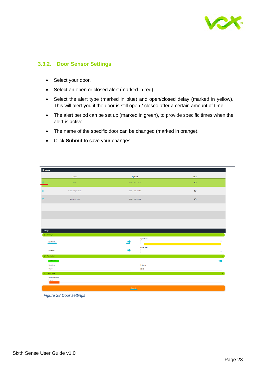

#### <span id="page-23-0"></span>**3.3.2. Door Sensor Settings**

- Select your door.
- Select an open or closed alert (marked in red).
- Select the alert type (marked in blue) and open/closed delay (marked in yellow). This will alert you if the door is still open / closed after a certain amount of time.
- The alert period can be set up (marked in green), to provide specific times when the alert is active.
- The name of the specific door can be changed (marked in orange).
- Click **Submit** to save your changes.

|                            | Sensor              | <b>Updated</b>                                                                    | <b>Alerts</b>          |
|----------------------------|---------------------|-----------------------------------------------------------------------------------|------------------------|
|                            | Door                | 17 Sep 2021 13H28                                                                 | $\bullet$              |
|                            | neroSpec Open/Close | 22 Sep 2021 07H59                                                                 | $\bullet$              |
|                            |                     |                                                                                   |                        |
|                            | Swimming Pool       | 28 Sep 2021 14H09                                                                 | $\bullet$              |
|                            |                     |                                                                                   |                        |
|                            |                     |                                                                                   |                        |
|                            |                     |                                                                                   |                        |
|                            |                     |                                                                                   |                        |
|                            |                     |                                                                                   |                        |
| Settings                   |                     |                                                                                   |                        |
| <sup>奥</sup> Alert Type    |                     |                                                                                   |                        |
|                            |                     | Open Delay                                                                        |                        |
| Open Alert                 |                     | $\circ$<br>$\overline{\phantom{0}}$<br>and the state of the state of the state of |                        |
|                            |                     | <b>Close Delay</b>                                                                |                        |
| Close Alert                |                     | $\bullet$                                                                         | $\sim$<br>$\mathbf{v}$ |
| <b>M</b> Alert Period      |                     |                                                                                   |                        |
| Send between               |                     |                                                                                   |                        |
| <b>Start time</b>          |                     | Endtime                                                                           |                        |
|                            |                     |                                                                                   |                        |
|                            |                     | 23:59                                                                             |                        |
| 00:00                      |                     |                                                                                   |                        |
| $\mathbb{R}^n$ Device name |                     |                                                                                   |                        |
| Set device name            |                     |                                                                                   |                        |
| Door                       |                     |                                                                                   |                        |

*Figure 28 Door settings*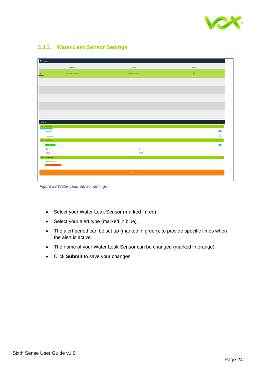

| <b>Devices</b>                     |                    |               |
|------------------------------------|--------------------|---------------|
| Sensor                             | <b>Updated</b>     | <b>Alerts</b> |
| Macro Leak Detector                | 22 Sep 2021 07 HS2 | $\bullet$     |
|                                    |                    |               |
|                                    |                    |               |
|                                    |                    |               |
|                                    |                    |               |
|                                    |                    |               |
|                                    |                    |               |
|                                    |                    |               |
| Settings                           |                    |               |
| A Alert Type                       |                    |               |
| Leek Alert                         |                    | r.            |
| No Leek Alert                      |                    | $\bigcirc$    |
| (iii) Alert Period<br>Send between |                    |               |
| <b>Start time</b>                  | End time           |               |
| 00:00                              | 23:59              |               |
| $[2]$ Device name                  |                    |               |
| Set device name                    |                    |               |
| Macro Leak Detector                |                    |               |
|                                    | Submit             |               |

### <span id="page-24-0"></span>**3.3.3. Water Leak Sensor Settings**

*Figure 29 Water Leak Sensor settings*

- Select your Water Leak Sensor (marked in red).
- Select your alert type (marked in blue).
- The alert period can be set up (marked in green), to provide specific times when the alert is active.
- The name of your Water Leak Sensor can be changed (marked in orange).
- Click **Submit** to save your changes.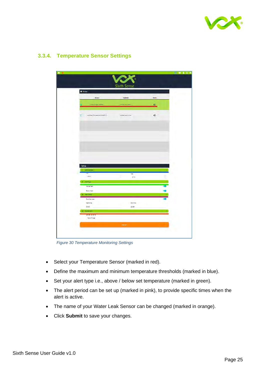

| <b>S</b> Devices                     | Sixth Sense         |           |  |
|--------------------------------------|---------------------|-----------|--|
| Sensor                               | Updated             | Alerty    |  |
| new Frage (2001)                     | of Debause bones    | $\bullet$ |  |
| O<br>Inercipac Temperature (1880077) | 025 ap 2021 07 HS1  | $\bullet$ |  |
|                                      |                     |           |  |
|                                      |                     |           |  |
|                                      |                     |           |  |
|                                      |                     |           |  |
| Settings                             |                     |           |  |
| Setthresholds<br><b>Hin</b>          |                     |           |  |
| 48.00                                | Max<br>$z = \infty$ |           |  |
|                                      |                     |           |  |
| $N$ erkType<br>Above Nert            |                     |           |  |
|                                      |                     |           |  |
| <b>Seleur/Jert</b>                   |                     |           |  |
| <b>C. Met Period</b>                 |                     |           |  |
| Send between<br>Start time           | Englisher           |           |  |
| 00:00                                | 23:59               |           |  |
| <b>C. Doon news</b>                  |                     |           |  |
| <b>PRESENTATION</b>                  |                     |           |  |

#### <span id="page-25-0"></span>**3.3.4. Temperature Sensor Settings**

*Figure 30 Temperature Monitoring Settings*

- Select your Temperature Sensor (marked in red).
- Define the maximum and minimum temperature thresholds (marked in blue).
- Set your alert type i.e., above / below set temperature (marked in green).
- The alert period can be set up (marked in pink), to provide specific times when the alert is active.
- The name of your Water Leak Sensor can be changed (marked in orange).
- Click **Submit** to save your changes.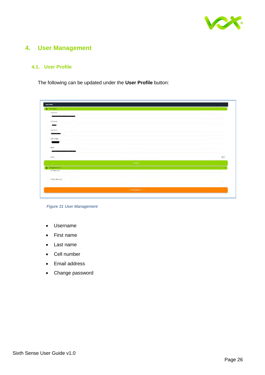

## <span id="page-26-0"></span>**4. User Management**

#### <span id="page-26-1"></span>**4.1. User Profile**

The following can be updated under the **User Profile** button:

| User Profile             |                |            |
|--------------------------|----------------|------------|
| $2$ User details:        |                |            |
| Username                 |                |            |
|                          |                |            |
| First Neme               |                |            |
| $\frac{1}{2}$            |                |            |
| Last Name                |                |            |
| <b>Sider</b>             |                |            |
| Cell Number              |                |            |
| ×                        |                |            |
| Email                    |                |            |
|                          |                |            |
| Admin                    |                | <b>STI</b> |
|                          | <b>Under-</b>  |            |
| <b>A</b> Change Password |                |            |
| New Password             |                |            |
|                          |                |            |
| Confirm Password         |                |            |
|                          |                |            |
|                          | Change Powerer |            |

*Figure 31 User Management*

- Username
- First name
- Last name
- Cell number
- Email address
- Change password